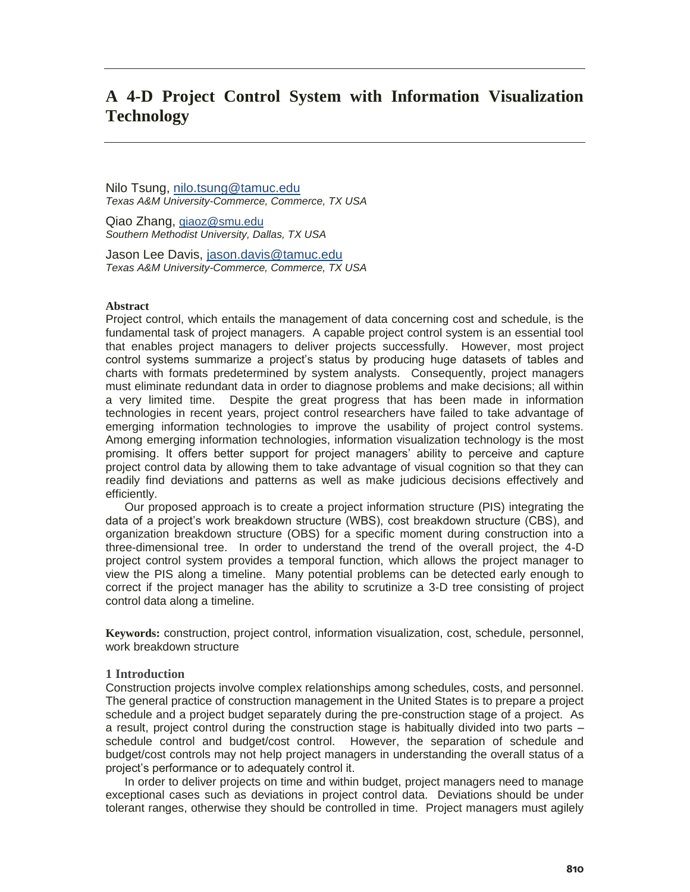# **A 4-D Project Control System with Information Visualization Technology**

Nilo Tsung, nilo.tsung@tamuc.edu *Texas A&M University-Commerce, Commerce, TX USA* 

Qiao Zhang, qiaoz@smu.edu *Southern Methodist University, Dallas, TX USA* 

Jason Lee Davis, jason.davis@tamuc.edu *Texas A&M University-Commerce, Commerce, TX USA* 

## **Abstract**

Project control, which entails the management of data concerning cost and schedule, is the fundamental task of project managers. A capable project control system is an essential tool that enables project managers to deliver projects successfully. However, most project control systems summarize a project's status by producing huge datasets of tables and charts with formats predetermined by system analysts. Consequently, project managers must eliminate redundant data in order to diagnose problems and make decisions; all within a very limited time. Despite the great progress that has been made in information technologies in recent years, project control researchers have failed to take advantage of emerging information technologies to improve the usability of project control systems. Among emerging information technologies, information visualization technology is the most promising. It offers better support for project managers' ability to perceive and capture project control data by allowing them to take advantage of visual cognition so that they can readily find deviations and patterns as well as make judicious decisions effectively and efficiently.

 Our proposed approach is to create a project information structure (PIS) integrating the data of a project's work breakdown structure (WBS), cost breakdown structure (CBS), and organization breakdown structure (OBS) for a specific moment during construction into a three-dimensional tree. In order to understand the trend of the overall project, the 4-D project control system provides a temporal function, which allows the project manager to view the PIS along a timeline. Many potential problems can be detected early enough to correct if the project manager has the ability to scrutinize a 3-D tree consisting of project control data along a timeline.

**Keywords:** construction, project control, information visualization, cost, schedule, personnel, work breakdown structure

# **1 Introduction**

Construction projects involve complex relationships among schedules, costs, and personnel. The general practice of construction management in the United States is to prepare a project schedule and a project budget separately during the pre-construction stage of a project. As a result, project control during the construction stage is habitually divided into two parts – schedule control and budget/cost control. However, the separation of schedule and budget/cost controls may not help project managers in understanding the overall status of a project's performance or to adequately control it.

 In order to deliver projects on time and within budget, project managers need to manage exceptional cases such as deviations in project control data. Deviations should be under tolerant ranges, otherwise they should be controlled in time. Project managers must agilely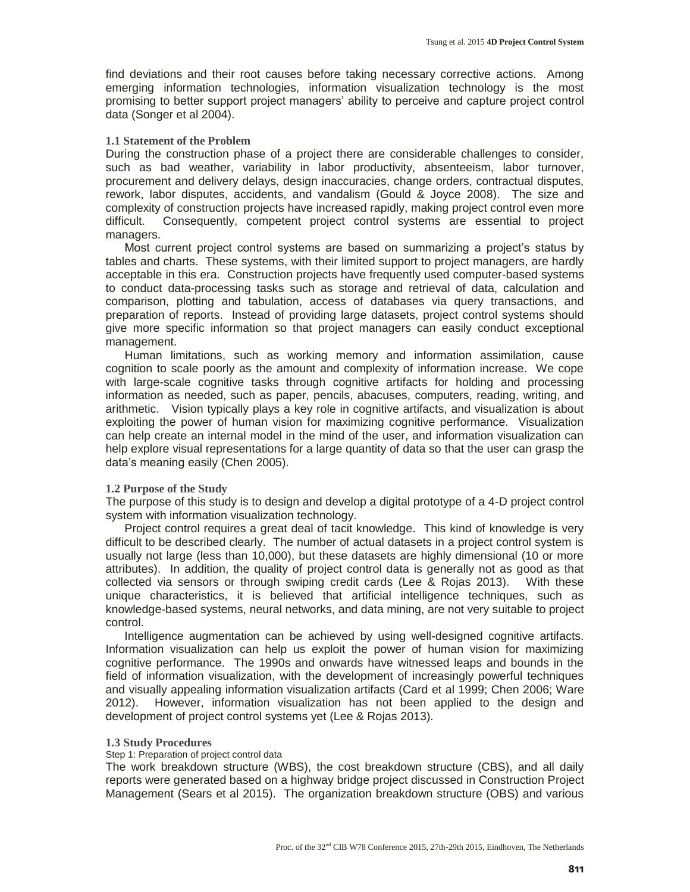find deviations and their root causes before taking necessary corrective actions. Among emerging information technologies, information visualization technology is the most promising to better support project managers' ability to perceive and capture project control data (Songer et al 2004).

## **1.1 Statement of the Problem**

During the construction phase of a project there are considerable challenges to consider, such as bad weather, variability in labor productivity, absenteeism, labor turnover, procurement and delivery delays, design inaccuracies, change orders, contractual disputes, rework, labor disputes, accidents, and vandalism (Gould & Joyce 2008). The size and complexity of construction projects have increased rapidly, making project control even more difficult. Consequently, competent project control systems are essential to project managers.

Most current project control systems are based on summarizing a project's status by tables and charts. These systems, with their limited support to project managers, are hardly acceptable in this era. Construction projects have frequently used computer-based systems to conduct data-processing tasks such as storage and retrieval of data, calculation and comparison, plotting and tabulation, access of databases via query transactions, and preparation of reports. Instead of providing large datasets, project control systems should give more specific information so that project managers can easily conduct exceptional management.

 Human limitations, such as working memory and information assimilation, cause cognition to scale poorly as the amount and complexity of information increase. We cope with large-scale cognitive tasks through cognitive artifacts for holding and processing information as needed, such as paper, pencils, abacuses, computers, reading, writing, and arithmetic. Vision typically plays a key role in cognitive artifacts, and visualization is about exploiting the power of human vision for maximizing cognitive performance. Visualization can help create an internal model in the mind of the user, and information visualization can help explore visual representations for a large quantity of data so that the user can grasp the data's meaning easily (Chen 2005).

# **1.2 Purpose of the Study**

The purpose of this study is to design and develop a digital prototype of a 4-D project control system with information visualization technology.

Project control requires a great deal of tacit knowledge. This kind of knowledge is very difficult to be described clearly. The number of actual datasets in a project control system is usually not large (less than 10,000), but these datasets are highly dimensional (10 or more attributes). In addition, the quality of project control data is generally not as good as that collected via sensors or through swiping credit cards (Lee & Rojas 2013). With these unique characteristics, it is believed that artificial intelligence techniques, such as knowledge-based systems, neural networks, and data mining, are not very suitable to project control.

Intelligence augmentation can be achieved by using well-designed cognitive artifacts. Information visualization can help us exploit the power of human vision for maximizing cognitive performance. The 1990s and onwards have witnessed leaps and bounds in the field of information visualization, with the development of increasingly powerful techniques and visually appealing information visualization artifacts (Card et al 1999; Chen 2006; Ware 2012). However, information visualization has not been applied to the design and development of project control systems yet (Lee & Rojas 2013).

## **1.3 Study Procedures**

Step 1: Preparation of project control data

The work breakdown structure (WBS), the cost breakdown structure (CBS), and all daily reports were generated based on a highway bridge project discussed in Construction Project Management (Sears et al 2015). The organization breakdown structure (OBS) and various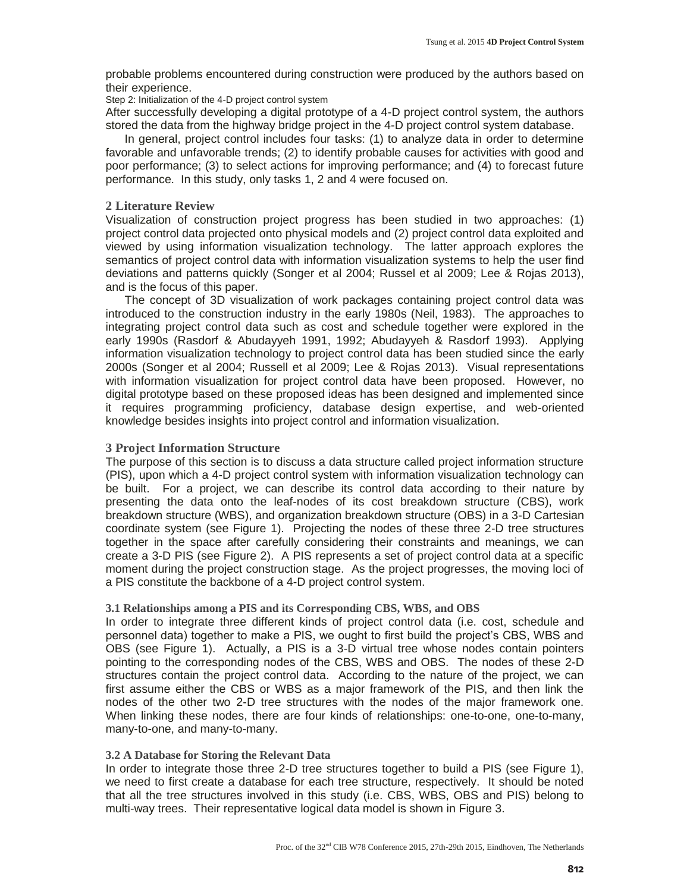probable problems encountered during construction were produced by the authors based on their experience.

Step 2: Initialization of the 4-D project control system

After successfully developing a digital prototype of a 4-D project control system, the authors stored the data from the highway bridge project in the 4-D project control system database.

 In general, project control includes four tasks: (1) to analyze data in order to determine favorable and unfavorable trends; (2) to identify probable causes for activities with good and poor performance; (3) to select actions for improving performance; and (4) to forecast future performance. In this study, only tasks 1, 2 and 4 were focused on.

# **2 Literature Review**

Visualization of construction project progress has been studied in two approaches: (1) project control data projected onto physical models and (2) project control data exploited and viewed by using information visualization technology. The latter approach explores the semantics of project control data with information visualization systems to help the user find deviations and patterns quickly (Songer et al 2004; Russel et al 2009; Lee & Rojas 2013), and is the focus of this paper.

 The concept of 3D visualization of work packages containing project control data was introduced to the construction industry in the early 1980s (Neil, 1983). The approaches to integrating project control data such as cost and schedule together were explored in the early 1990s (Rasdorf & Abudayyeh 1991, 1992; Abudayyeh & Rasdorf 1993). Applying information visualization technology to project control data has been studied since the early 2000s (Songer et al 2004; Russell et al 2009; Lee & Rojas 2013). Visual representations with information visualization for project control data have been proposed. However, no digital prototype based on these proposed ideas has been designed and implemented since it requires programming proficiency, database design expertise, and web-oriented knowledge besides insights into project control and information visualization.

# **3 Project Information Structure**

The purpose of this section is to discuss a data structure called project information structure (PIS), upon which a 4-D project control system with information visualization technology can be built. For a project, we can describe its control data according to their nature by presenting the data onto the leaf-nodes of its cost breakdown structure (CBS), work breakdown structure (WBS), and organization breakdown structure (OBS) in a 3-D Cartesian coordinate system (see Figure 1). Projecting the nodes of these three 2-D tree structures together in the space after carefully considering their constraints and meanings, we can create a 3-D PIS (see Figure 2). A PIS represents a set of project control data at a specific moment during the project construction stage. As the project progresses, the moving loci of a PIS constitute the backbone of a 4-D project control system.

# **3.1 Relationships among a PIS and its Corresponding CBS, WBS, and OBS**

In order to integrate three different kinds of project control data (i.e. cost, schedule and personnel data) together to make a PIS, we ought to first build the project's CBS, WBS and OBS (see Figure 1). Actually, a PIS is a 3-D virtual tree whose nodes contain pointers pointing to the corresponding nodes of the CBS, WBS and OBS. The nodes of these 2-D structures contain the project control data. According to the nature of the project, we can first assume either the CBS or WBS as a major framework of the PIS, and then link the nodes of the other two 2-D tree structures with the nodes of the major framework one. When linking these nodes, there are four kinds of relationships: one-to-one, one-to-many, many-to-one, and many-to-many.

# **3.2 A Database for Storing the Relevant Data**

In order to integrate those three 2-D tree structures together to build a PIS (see Figure 1), we need to first create a database for each tree structure, respectively. It should be noted that all the tree structures involved in this study (i.e. CBS, WBS, OBS and PIS) belong to multi-way trees. Their representative logical data model is shown in Figure 3.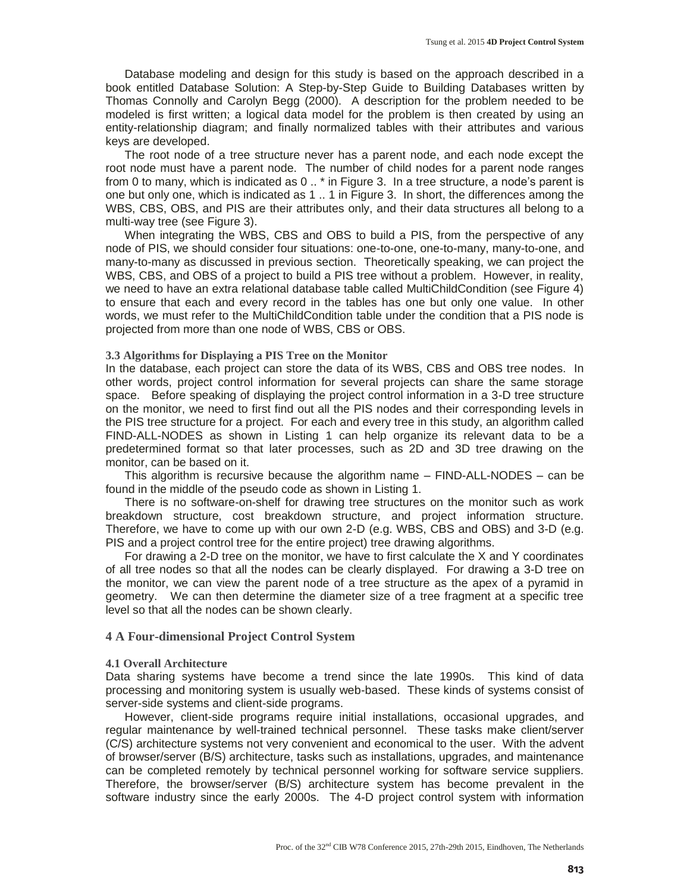Database modeling and design for this study is based on the approach described in a book entitled Database Solution: A Step-by-Step Guide to Building Databases written by Thomas Connolly and Carolyn Begg (2000). A description for the problem needed to be modeled is first written; a logical data model for the problem is then created by using an entity-relationship diagram; and finally normalized tables with their attributes and various keys are developed.

 The root node of a tree structure never has a parent node, and each node except the root node must have a parent node. The number of child nodes for a parent node ranges from 0 to many, which is indicated as 0 .. \* in Figure 3. In a tree structure, a node's parent is one but only one, which is indicated as 1 .. 1 in Figure 3. In short, the differences among the WBS, CBS, OBS, and PIS are their attributes only, and their data structures all belong to a multi-way tree (see Figure 3).

 When integrating the WBS, CBS and OBS to build a PIS, from the perspective of any node of PIS, we should consider four situations: one-to-one, one-to-many, many-to-one, and many-to-many as discussed in previous section. Theoretically speaking, we can project the WBS, CBS, and OBS of a project to build a PIS tree without a problem. However, in reality, we need to have an extra relational database table called MultiChildCondition (see Figure 4) to ensure that each and every record in the tables has one but only one value. In other words, we must refer to the MultiChildCondition table under the condition that a PIS node is projected from more than one node of WBS, CBS or OBS.

#### **3.3 Algorithms for Displaying a PIS Tree on the Monitor**

In the database, each project can store the data of its WBS, CBS and OBS tree nodes. In other words, project control information for several projects can share the same storage space. Before speaking of displaying the project control information in a 3-D tree structure on the monitor, we need to first find out all the PIS nodes and their corresponding levels in the PIS tree structure for a project. For each and every tree in this study, an algorithm called FIND-ALL-NODES as shown in Listing 1 can help organize its relevant data to be a predetermined format so that later processes, such as 2D and 3D tree drawing on the monitor, can be based on it.

 This algorithm is recursive because the algorithm name – FIND-ALL-NODES – can be found in the middle of the pseudo code as shown in Listing 1.

 There is no software-on-shelf for drawing tree structures on the monitor such as work breakdown structure, cost breakdown structure, and project information structure. Therefore, we have to come up with our own 2-D (e.g. WBS, CBS and OBS) and 3-D (e.g. PIS and a project control tree for the entire project) tree drawing algorithms.

 For drawing a 2-D tree on the monitor, we have to first calculate the X and Y coordinates of all tree nodes so that all the nodes can be clearly displayed. For drawing a 3-D tree on the monitor, we can view the parent node of a tree structure as the apex of a pyramid in geometry. We can then determine the diameter size of a tree fragment at a specific tree level so that all the nodes can be shown clearly.

#### **4 A Four-dimensional Project Control System**

#### **4.1 Overall Architecture**

Data sharing systems have become a trend since the late 1990s. This kind of data processing and monitoring system is usually web-based. These kinds of systems consist of server-side systems and client-side programs.

 However, client-side programs require initial installations, occasional upgrades, and regular maintenance by well-trained technical personnel. These tasks make client/server (C/S) architecture systems not very convenient and economical to the user. With the advent of browser/server (B/S) architecture, tasks such as installations, upgrades, and maintenance can be completed remotely by technical personnel working for software service suppliers. Therefore, the browser/server (B/S) architecture system has become prevalent in the software industry since the early 2000s. The 4-D project control system with information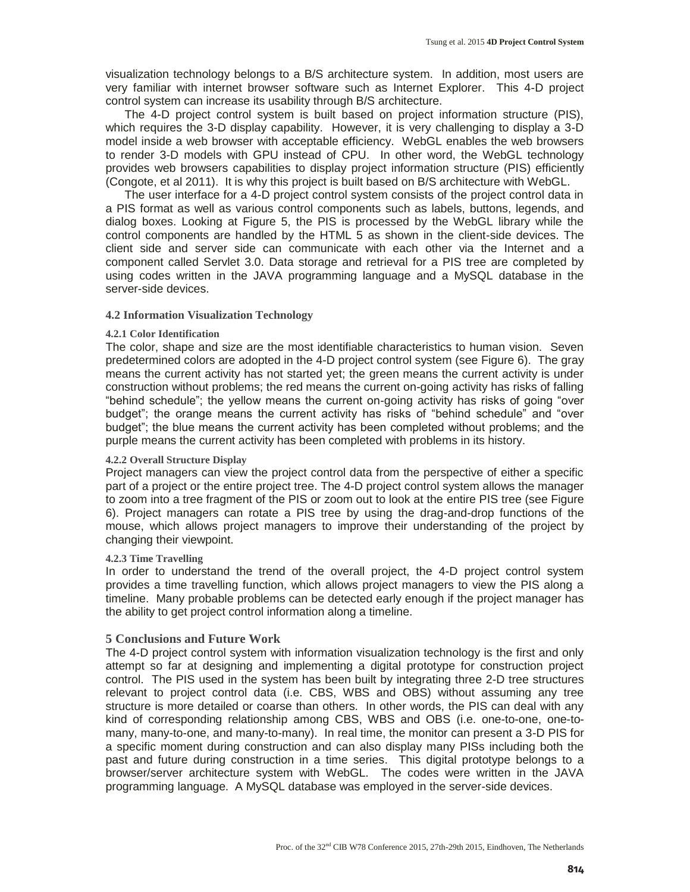visualization technology belongs to a B/S architecture system. In addition, most users are very familiar with internet browser software such as Internet Explorer. This 4-D project control system can increase its usability through B/S architecture.

 The 4-D project control system is built based on project information structure (PIS), which requires the 3-D display capability. However, it is very challenging to display a 3-D model inside a web browser with acceptable efficiency. WebGL enables the web browsers to render 3-D models with GPU instead of CPU. In other word, the WebGL technology provides web browsers capabilities to display project information structure (PIS) efficiently (Congote, et al 2011). It is why this project is built based on B/S architecture with WebGL.

 The user interface for a 4-D project control system consists of the project control data in a PIS format as well as various control components such as labels, buttons, legends, and dialog boxes. Looking at Figure 5, the PIS is processed by the WebGL library while the control components are handled by the HTML 5 as shown in the client-side devices. The client side and server side can communicate with each other via the Internet and a component called Servlet 3.0. Data storage and retrieval for a PIS tree are completed by using codes written in the JAVA programming language and a MySQL database in the server-side devices.

# **4.2 Information Visualization Technology**

# **4.2.1 Color Identification**

The color, shape and size are the most identifiable characteristics to human vision. Seven predetermined colors are adopted in the 4-D project control system (see Figure 6). The gray means the current activity has not started yet; the green means the current activity is under construction without problems; the red means the current on-going activity has risks of falling "behind schedule"; the yellow means the current on-going activity has risks of going "over budget"; the orange means the current activity has risks of "behind schedule" and "over budget"; the blue means the current activity has been completed without problems; and the purple means the current activity has been completed with problems in its history.

# **4.2.2 Overall Structure Display**

Project managers can view the project control data from the perspective of either a specific part of a project or the entire project tree. The 4-D project control system allows the manager to zoom into a tree fragment of the PIS or zoom out to look at the entire PIS tree (see Figure 6). Project managers can rotate a PIS tree by using the drag-and-drop functions of the mouse, which allows project managers to improve their understanding of the project by changing their viewpoint.

# **4.2.3 Time Travelling**

In order to understand the trend of the overall project, the 4-D project control system provides a time travelling function, which allows project managers to view the PIS along a timeline. Many probable problems can be detected early enough if the project manager has the ability to get project control information along a timeline.

# **5 Conclusions and Future Work**

The 4-D project control system with information visualization technology is the first and only attempt so far at designing and implementing a digital prototype for construction project control. The PIS used in the system has been built by integrating three 2-D tree structures relevant to project control data (i.e. CBS, WBS and OBS) without assuming any tree structure is more detailed or coarse than others. In other words, the PIS can deal with any kind of corresponding relationship among CBS, WBS and OBS (i.e. one-to-one, one-tomany, many-to-one, and many-to-many). In real time, the monitor can present a 3-D PIS for a specific moment during construction and can also display many PISs including both the past and future during construction in a time series. This digital prototype belongs to a browser/server architecture system with WebGL. The codes were written in the JAVA programming language. A MySQL database was employed in the server-side devices.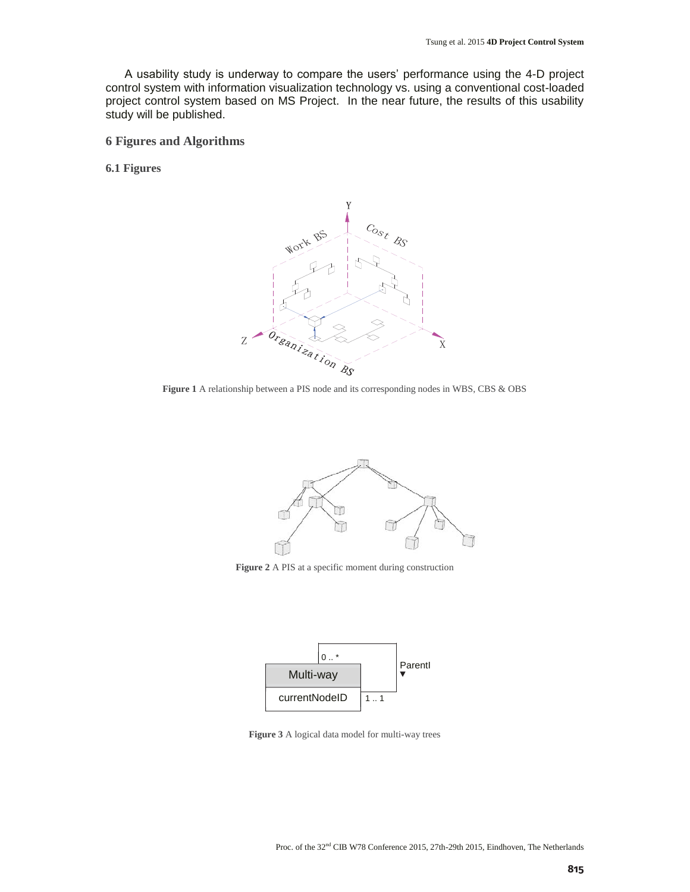A usability study is underway to compare the users' performance using the 4-D project control system with information visualization technology vs. using a conventional cost-loaded project control system based on MS Project. In the near future, the results of this usability study will be published.

**6 Figures and Algorithms** 

**6.1 Figures** 



**Figure 1** A relationship between a PIS node and its corresponding nodes in WBS, CBS & OBS



**Figure 2** A PIS at a specific moment during construction



**Figure 3** A logical data model for multi-way trees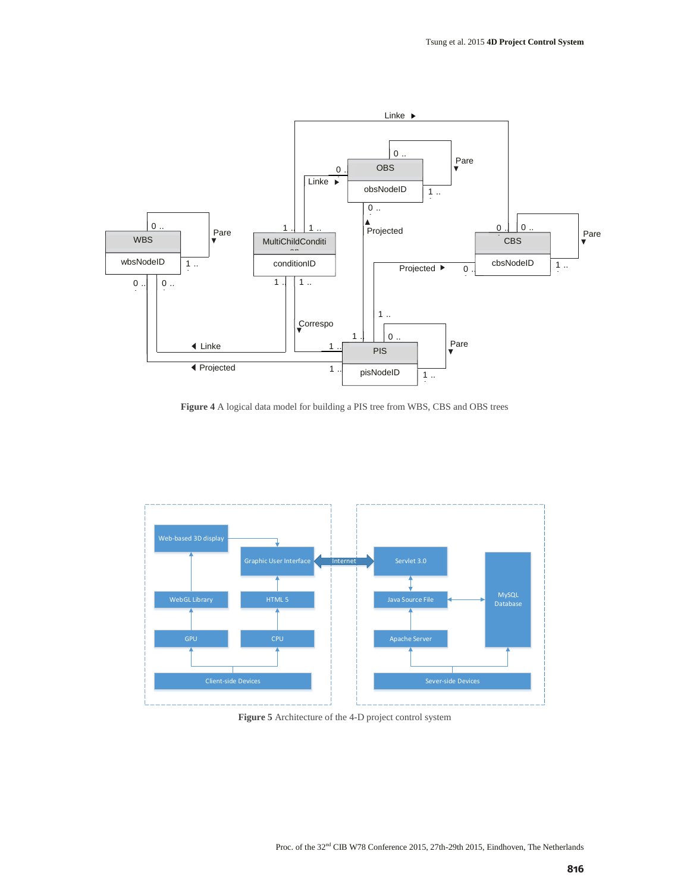

**Figure 4** A logical data model for building a PIS tree from WBS, CBS and OBS trees



**Figure 5** Architecture of the 4-D project control system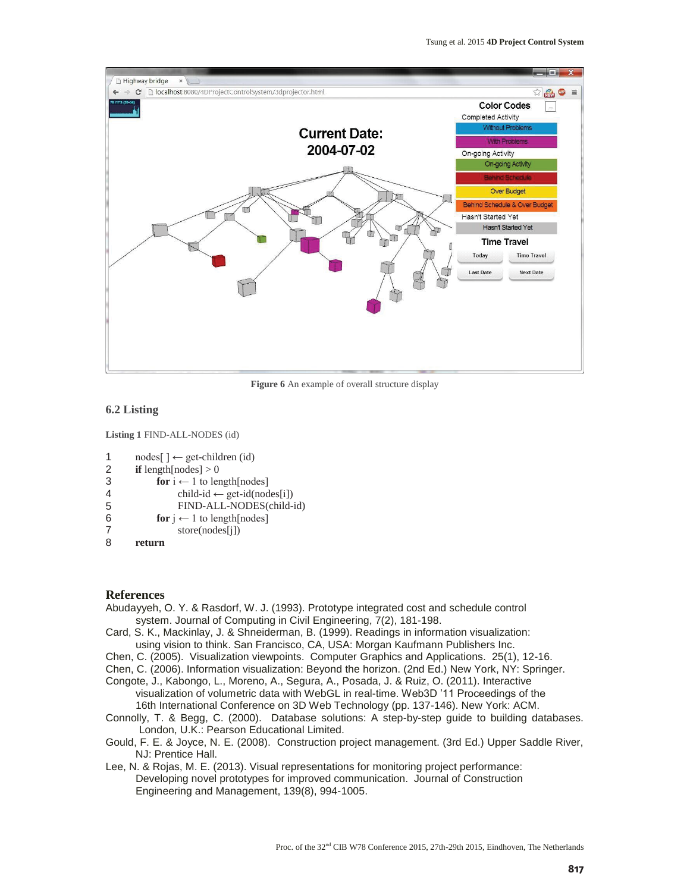

**Figure 6** An example of overall structure display

#### **6.2 Listing**

**Listing 1** FIND-ALL-NODES (id)

```
1 
2 
       nodes[ ] ← get-children (id) 
       if length[nodes] > 0
```

```
3
```

```
4 
                for i \leftarrow 1 to length[nodes]
```

```
child-id \leftarrow get-id(nodes[i])
 FIND-ALL-NODES(child-id)
```

```
for i \leftarrow 1 to length[nodes]
```

```
6 
7 
                     store(nodes[j])
```

```
8 
        return
```
5

## **References**

- Abudayyeh, O. Y. & Rasdorf, W. J. (1993). Prototype integrated cost and schedule control system. Journal of Computing in Civil Engineering, 7(2), 181-198.
- Card, S. K., Mackinlay, J. & Shneiderman, B. (1999). Readings in information visualization: using vision to think. San Francisco, CA, USA: Morgan Kaufmann Publishers Inc.
- Chen, C. (2005). Visualization viewpoints. Computer Graphics and Applications. 25(1), 12-16.

Chen, C. (2006). Information visualization: Beyond the horizon. (2nd Ed.) New York, NY: Springer.

- Congote, J., Kabongo, L., Moreno, A., Segura, A., Posada, J. & Ruiz, O. (2011). Interactive visualization of volumetric data with WebGL in real-time. Web3D '11 Proceedings of the 16th International Conference on 3D Web Technology (pp. 137-146). New York: ACM.
- Connolly, T. & Begg, C. (2000). Database solutions: A step-by-step guide to building databases. London, U.K.: Pearson Educational Limited.
- Gould, F. E. & Joyce, N. E. (2008). Construction project management. (3rd Ed.) Upper Saddle River, NJ: Prentice Hall.
- Lee, N. & Rojas, M. E. (2013). Visual representations for monitoring project performance: Developing novel prototypes for improved communication. Journal of Construction Engineering and Management, 139(8), 994-1005.